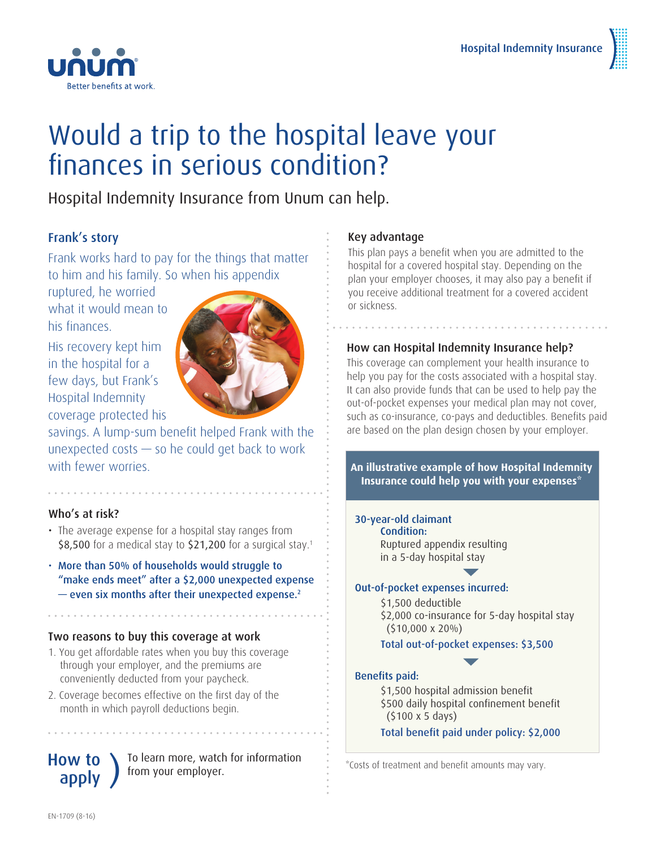

# Would a trip to the hospital leave your finances in serious condition?

Hospital Indemnity Insurance from Unum can help.

# Frank's story

Frank works hard to pay for the things that matter to him and his family. So when his appendix

ruptured, he worried what it would mean to his finances.

Better benefits at work.

His recovery kept him in the hospital for a few days, but Frank's Hospital Indemnity coverage protected his



savings. A lump-sum benefit helped Frank with the unexpected costs — so he could get back to work with fewer worries.

# Who's at risk?

- The average expense for a hospital stay ranges from \$8,500 for a medical stay to \$21,200 for a surgical stay.<sup>1</sup>
- More than 50% of households would struggle to "make ends meet" after a \$2,000 unexpected expense — even six months after their unexpected expense.2

# Two reasons to buy this coverage at work

- 1. You get affordable rates when you buy this coverage through your employer, and the premiums are conveniently deducted from your paycheck.
- 2. Coverage becomes effective on the first day of the month in which payroll deductions begin.

How to apply )

To learn more, watch for information from your employer.

# Key advantage

This plan pays a benefit when you are admitted to the hospital for a covered hospital stay. Depending on the plan your employer chooses, it may also pay a benefit if you receive additional treatment for a covered accident or sickness.

# How can Hospital Indemnity Insurance help?

This coverage can complement your health insurance to help you pay for the costs associated with a hospital stay. It can also provide funds that can be used to help pay the out-of-pocket expenses your medical plan may not cover, such as co-insurance, co-pays and deductibles. Benefits paid are based on the plan design chosen by your employer.

# **An illustrative example of how Hospital Indemnity Insurance could help you with your expenses\***

# 30-year-old claimant

Ruptured appendix resulting in a 5-day hospital stay Condition:

### Out-of-pocket expenses incurred:

\$1,500 deductible \$2,000 co-insurance for 5-day hospital stay (\$10,000 x 20%)

Total out-of-pocket expenses: \$3,500

### Benefits paid:

\$1,500 hospital admission benefit \$500 daily hospital confinement benefit (\$100 x 5 days)

Total benefit paid under policy: \$2,000

\*Costs of treatment and benefit amounts may vary.